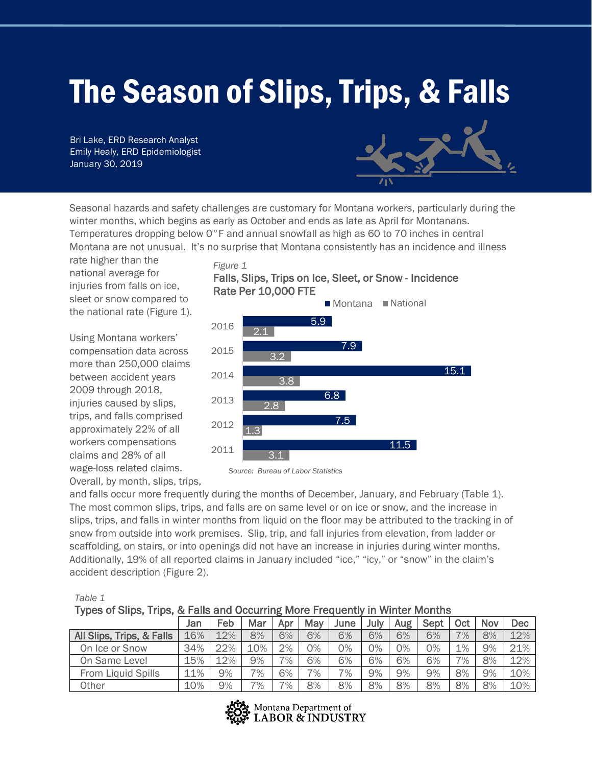# The Season of Slips, Trips, & Falls

Bri Lake, ERD Research Analyst Emily Healy, ERD Epidemiologist January 30, 2019



Seasonal hazards and safety challenges are customary for Montana workers, particularly during the winter months, which begins as early as October and ends as late as April for Montanans. Temperatures dropping below 0°F and annual snowfall as high as 60 to 70 inches in central Montana are not unusual. It's no surprise that Montana consistently has an incidence and illness

rate higher than the national average for injuries from falls on ice, sleet or snow compared to the national rate (Figure 1).

Using Montana workers' compensation data across more than 250,000 claims between accident years 2009 through 2018, injuries caused by slips, trips, and falls comprised approximately 22% of all workers compensations claims and 28% of all wage-loss related claims.

*Figure 1* Falls, Slips, Trips on Ice, Sleet, or Snow - Incidence Rate Per 10,000 FTE





Overall, by month, slips, trips,

and falls occur more frequently during the months of December, January, and February (Table 1). The most common slips, trips, and falls are on same level or on ice or snow, and the increase in slips, trips, and falls in winter months from liquid on the floor may be attributed to the tracking in of snow from outside into work premises. Slip, trip, and fall injuries from elevation, from ladder or scaffolding, on stairs, or into openings did not have an increase in injuries during winter months. Additionally, 19% of all reported claims in January included "ice," "icy," or "snow" in the claim's accident description (Figure 2).

| Types of Slips, Trips, & Falls and Occurring More Frequently in Winter Months |     |     |     |     |     |      |      |            |      |     |     |     |
|-------------------------------------------------------------------------------|-----|-----|-----|-----|-----|------|------|------------|------|-----|-----|-----|
|                                                                               | Jan | Feb | Mar | Apr | May | June | July | <b>Aug</b> | Sept | Oct | Nov | Dec |
| All Slips, Trips, & Falls                                                     | 16% | 12% | 8%  | 6%  | 6%  | 6%   | 6%   | 6%         | 6%   | 7%  | 8%  | 12% |
| On Ice or Snow                                                                | 34% | 22% | 10% | 2%  | 0%  | 0%   | 0%   | 0%         | 0%   | 1%  | 9%  | 21% |
| On Same Level                                                                 | 15% | 12% | 9%  | 7%  | 6%  | 6%   | 6%   | 6%         | 6%   | 7%  | 8%  | 12% |
| From Liquid Spills                                                            | 11% | 9%  | 7%  | 6%  | 7%  | 7%   | 9%   | 9%         | 9%   | 8%  | 9%  | 10% |
| Other                                                                         | 10% | 9%  | 7%  | 7%  | 8%  | 8%   | 8%   | 8%         | 8%   | 8%  | 8%  | 10% |

Montana Department of **LABOR & INDUSTRY** 

## *Table 1*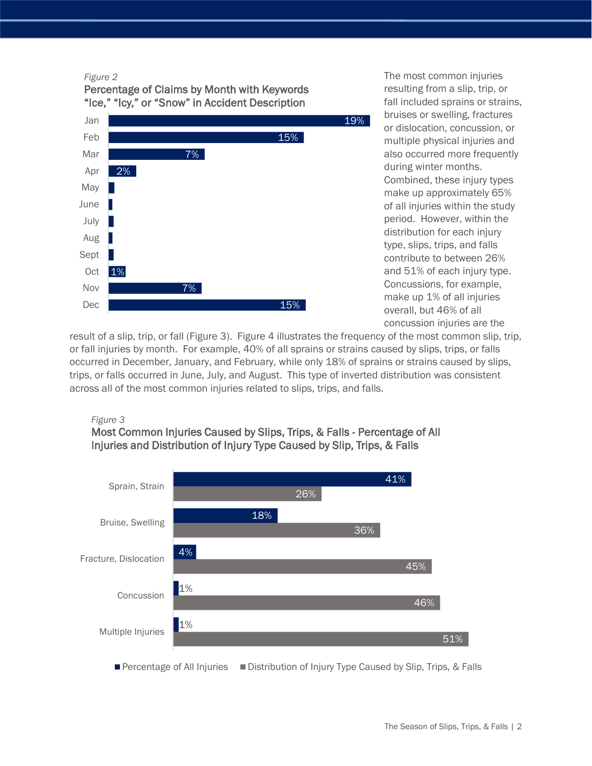#### *Figure 2*





The most common injuries resulting from a slip, trip, or fall included sprains or strains, bruises or swelling, fractures or dislocation, concussion, or multiple physical injuries and also occurred more frequently during winter months. Combined, these injury types make up approximately 65% of all injuries within the study period. However, within the distribution for each injury type, slips, trips, and falls contribute to between 26% and 51% of each injury type. Concussions, for example, make up 1% of all injuries overall, but 46% of all concussion injuries are the

result of a slip, trip, or fall (Figure 3). Figure 4 illustrates the frequency of the most common slip, trip, or fall injuries by month. For example, 40% of all sprains or strains caused by slips, trips, or falls occurred in December, January, and February, while only 18% of sprains or strains caused by slips, trips, or falls occurred in June, July, and August. This type of inverted distribution was consistent across all of the most common injuries related to slips, trips, and falls.

## *Figure 3*



Most Common Injuries Caused by Slips, Trips, & Falls - Percentage of All Injuries and Distribution of Injury Type Caused by Slip, Trips, & Falls